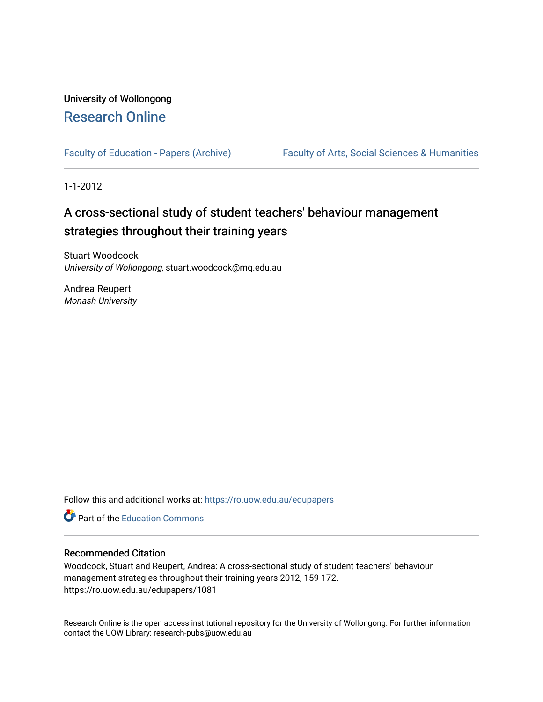# University of Wollongong [Research Online](https://ro.uow.edu.au/)

[Faculty of Education - Papers \(Archive\)](https://ro.uow.edu.au/edupapers) Faculty of Arts, Social Sciences & Humanities

1-1-2012

# A cross-sectional study of student teachers' behaviour management strategies throughout their training years

Stuart Woodcock University of Wollongong, stuart.woodcock@mq.edu.au

Andrea Reupert Monash University

Follow this and additional works at: [https://ro.uow.edu.au/edupapers](https://ro.uow.edu.au/edupapers?utm_source=ro.uow.edu.au%2Fedupapers%2F1081&utm_medium=PDF&utm_campaign=PDFCoverPages) 

**C** Part of the [Education Commons](http://network.bepress.com/hgg/discipline/784?utm_source=ro.uow.edu.au%2Fedupapers%2F1081&utm_medium=PDF&utm_campaign=PDFCoverPages)

# Recommended Citation

Woodcock, Stuart and Reupert, Andrea: A cross-sectional study of student teachers' behaviour management strategies throughout their training years 2012, 159-172. https://ro.uow.edu.au/edupapers/1081

Research Online is the open access institutional repository for the University of Wollongong. For further information contact the UOW Library: research-pubs@uow.edu.au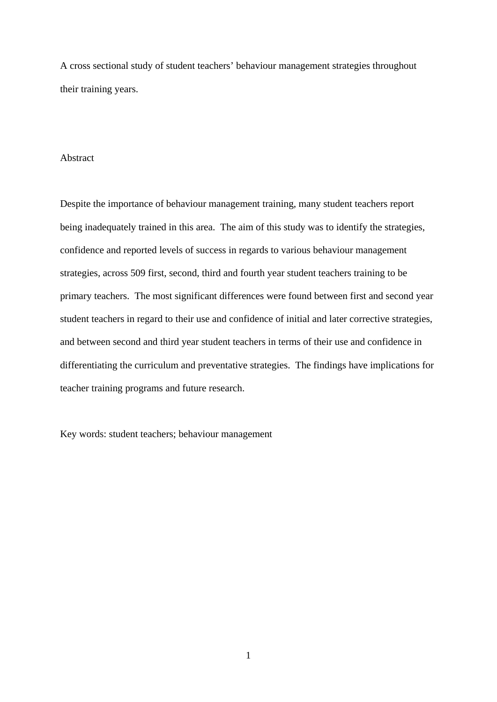A cross sectional study of student teachers' behaviour management strategies throughout their training years.

# Abstract

Despite the importance of behaviour management training, many student teachers report being inadequately trained in this area. The aim of this study was to identify the strategies, confidence and reported levels of success in regards to various behaviour management strategies, across 509 first, second, third and fourth year student teachers training to be primary teachers. The most significant differences were found between first and second year student teachers in regard to their use and confidence of initial and later corrective strategies, and between second and third year student teachers in terms of their use and confidence in differentiating the curriculum and preventative strategies. The findings have implications for teacher training programs and future research.

Key words: student teachers; behaviour management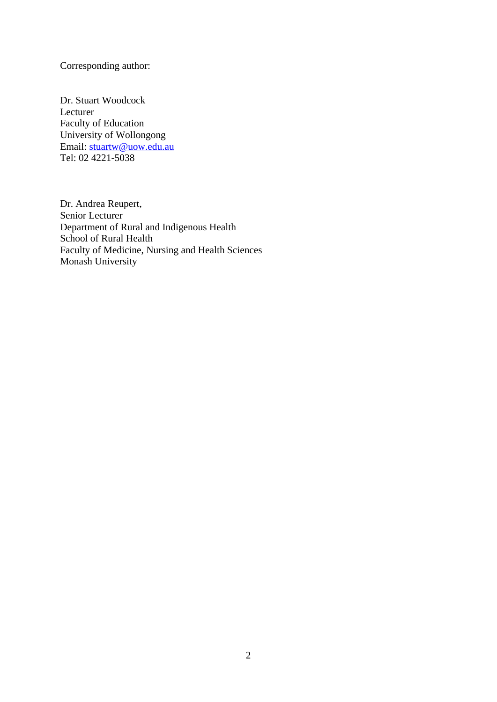Corresponding author:

Dr. Stuart Woodcock Lecturer Faculty of Education University of Wollongong Email: stuartw@uow.edu.au Tel: 02 4221-5038

Dr. Andrea Reupert, Senior Lecturer Department of Rural and Indigenous Health School of Rural Health Faculty of Medicine, Nursing and Health Sciences Monash University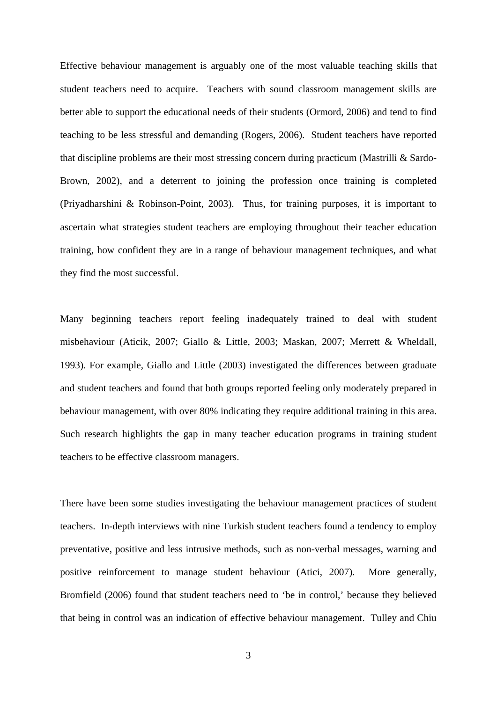Effective behaviour management is arguably one of the most valuable teaching skills that student teachers need to acquire. Teachers with sound classroom management skills are better able to support the educational needs of their students (Ormord, 2006) and tend to find teaching to be less stressful and demanding (Rogers, 2006). Student teachers have reported that discipline problems are their most stressing concern during practicum (Mastrilli & Sardo-Brown, 2002), and a deterrent to joining the profession once training is completed (Priyadharshini & Robinson-Point, 2003). Thus, for training purposes, it is important to ascertain what strategies student teachers are employing throughout their teacher education training, how confident they are in a range of behaviour management techniques, and what they find the most successful.

Many beginning teachers report feeling inadequately trained to deal with student misbehaviour (Aticik, 2007; Giallo & Little, 2003; Maskan, 2007; Merrett & Wheldall, 1993). For example, Giallo and Little (2003) investigated the differences between graduate and student teachers and found that both groups reported feeling only moderately prepared in behaviour management, with over 80% indicating they require additional training in this area. Such research highlights the gap in many teacher education programs in training student teachers to be effective classroom managers.

There have been some studies investigating the behaviour management practices of student teachers. In-depth interviews with nine Turkish student teachers found a tendency to employ preventative, positive and less intrusive methods, such as non-verbal messages, warning and positive reinforcement to manage student behaviour (Atici, 2007). More generally, Bromfield (2006) found that student teachers need to 'be in control,' because they believed that being in control was an indication of effective behaviour management. Tulley and Chiu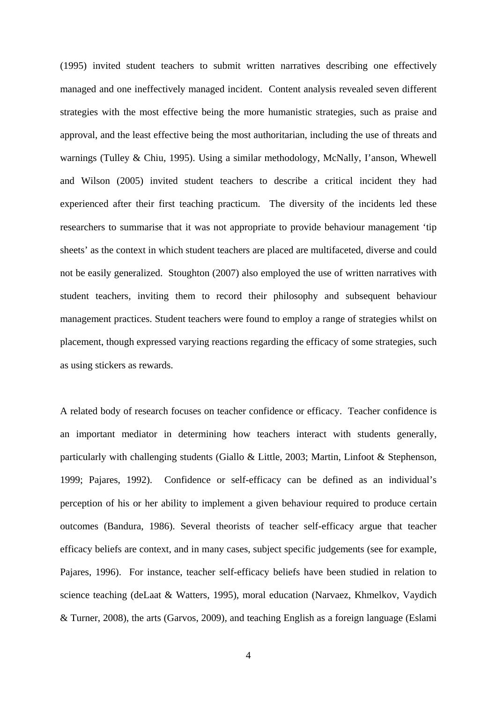(1995) invited student teachers to submit written narratives describing one effectively managed and one ineffectively managed incident. Content analysis revealed seven different strategies with the most effective being the more humanistic strategies, such as praise and approval, and the least effective being the most authoritarian, including the use of threats and warnings (Tulley & Chiu, 1995). Using a similar methodology, McNally, I'anson, Whewell and Wilson (2005) invited student teachers to describe a critical incident they had experienced after their first teaching practicum. The diversity of the incidents led these researchers to summarise that it was not appropriate to provide behaviour management 'tip sheets' as the context in which student teachers are placed are multifaceted, diverse and could not be easily generalized. Stoughton (2007) also employed the use of written narratives with student teachers, inviting them to record their philosophy and subsequent behaviour management practices. Student teachers were found to employ a range of strategies whilst on placement, though expressed varying reactions regarding the efficacy of some strategies, such as using stickers as rewards.

A related body of research focuses on teacher confidence or efficacy. Teacher confidence is an important mediator in determining how teachers interact with students generally, particularly with challenging students (Giallo & Little, 2003; Martin, Linfoot & Stephenson, 1999; Pajares, 1992). Confidence or self-efficacy can be defined as an individual's perception of his or her ability to implement a given behaviour required to produce certain outcomes (Bandura, 1986). Several theorists of teacher self-efficacy argue that teacher efficacy beliefs are context, and in many cases, subject specific judgements (see for example, Pajares, 1996). For instance, teacher self-efficacy beliefs have been studied in relation to science teaching (deLaat & Watters, 1995), moral education (Narvaez, Khmelkov, Vaydich & Turner, 2008), the arts (Garvos, 2009), and teaching English as a foreign language (Eslami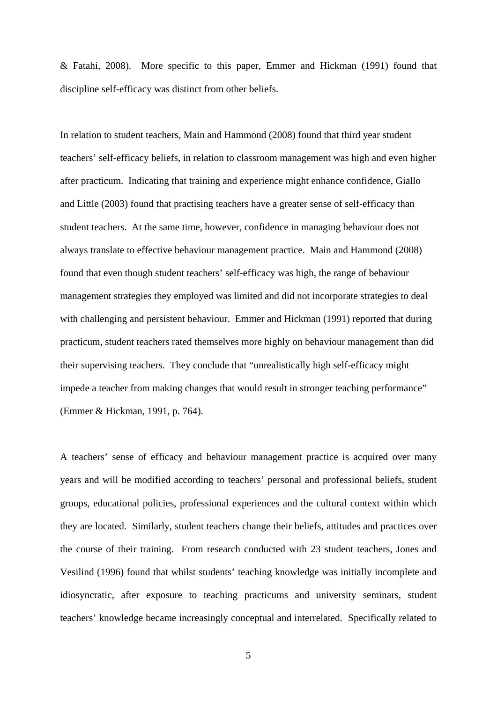& Fatahi, 2008). More specific to this paper, Emmer and Hickman (1991) found that discipline self-efficacy was distinct from other beliefs.

In relation to student teachers, Main and Hammond (2008) found that third year student teachers' self-efficacy beliefs, in relation to classroom management was high and even higher after practicum. Indicating that training and experience might enhance confidence, Giallo and Little (2003) found that practising teachers have a greater sense of self-efficacy than student teachers. At the same time, however, confidence in managing behaviour does not always translate to effective behaviour management practice. Main and Hammond (2008) found that even though student teachers' self-efficacy was high, the range of behaviour management strategies they employed was limited and did not incorporate strategies to deal with challenging and persistent behaviour. Emmer and Hickman (1991) reported that during practicum, student teachers rated themselves more highly on behaviour management than did their supervising teachers. They conclude that "unrealistically high self-efficacy might impede a teacher from making changes that would result in stronger teaching performance" (Emmer & Hickman, 1991, p. 764).

A teachers' sense of efficacy and behaviour management practice is acquired over many years and will be modified according to teachers' personal and professional beliefs, student groups, educational policies, professional experiences and the cultural context within which they are located. Similarly, student teachers change their beliefs, attitudes and practices over the course of their training. From research conducted with 23 student teachers, Jones and Vesilind (1996) found that whilst students' teaching knowledge was initially incomplete and idiosyncratic, after exposure to teaching practicums and university seminars, student teachers' knowledge became increasingly conceptual and interrelated. Specifically related to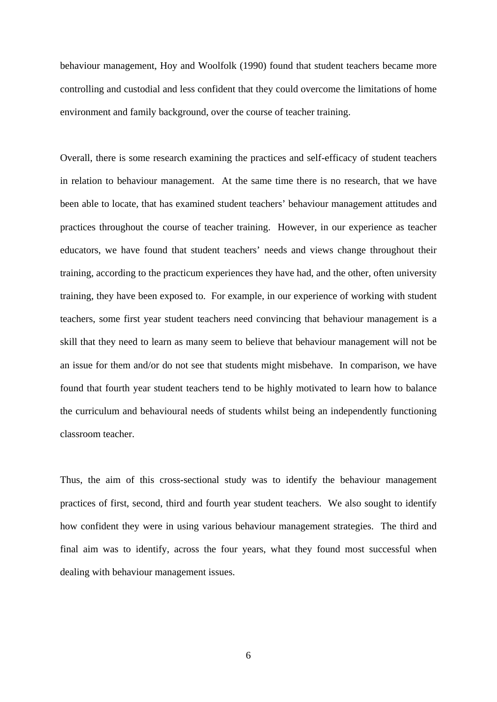behaviour management, Hoy and Woolfolk (1990) found that student teachers became more controlling and custodial and less confident that they could overcome the limitations of home environment and family background, over the course of teacher training.

Overall, there is some research examining the practices and self-efficacy of student teachers in relation to behaviour management. At the same time there is no research, that we have been able to locate, that has examined student teachers' behaviour management attitudes and practices throughout the course of teacher training. However, in our experience as teacher educators, we have found that student teachers' needs and views change throughout their training, according to the practicum experiences they have had, and the other, often university training, they have been exposed to. For example, in our experience of working with student teachers, some first year student teachers need convincing that behaviour management is a skill that they need to learn as many seem to believe that behaviour management will not be an issue for them and/or do not see that students might misbehave. In comparison, we have found that fourth year student teachers tend to be highly motivated to learn how to balance the curriculum and behavioural needs of students whilst being an independently functioning classroom teacher.

Thus, the aim of this cross-sectional study was to identify the behaviour management practices of first, second, third and fourth year student teachers. We also sought to identify how confident they were in using various behaviour management strategies. The third and final aim was to identify, across the four years, what they found most successful when dealing with behaviour management issues.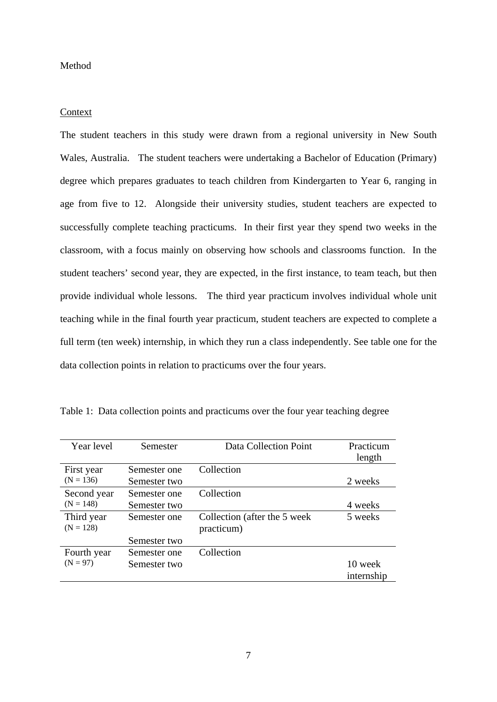# Method

# Context

The student teachers in this study were drawn from a regional university in New South Wales, Australia. The student teachers were undertaking a Bachelor of Education (Primary) degree which prepares graduates to teach children from Kindergarten to Year 6, ranging in age from five to 12. Alongside their university studies, student teachers are expected to successfully complete teaching practicums. In their first year they spend two weeks in the classroom, with a focus mainly on observing how schools and classrooms function. In the student teachers' second year, they are expected, in the first instance, to team teach, but then provide individual whole lessons. The third year practicum involves individual whole unit teaching while in the final fourth year practicum, student teachers are expected to complete a full term (ten week) internship, in which they run a class independently. See table one for the data collection points in relation to practicums over the four years.

| Year level                | Semester     | Data Collection Point         | Practicum  |
|---------------------------|--------------|-------------------------------|------------|
|                           |              |                               | length     |
| First year                | Semester one | Collection                    |            |
| $(N = 136)$               | Semester two |                               | 2 weeks    |
| Second year               | Semester one | Collection                    |            |
| $(N = 148)$               | Semester two |                               | 4 weeks    |
| Third year                | Semester one | Collection (after the 5 week) | 5 weeks    |
| $(N = 128)$               |              | practicum)                    |            |
|                           | Semester two |                               |            |
| Fourth year<br>$(N = 97)$ | Semester one | Collection                    |            |
|                           | Semester two |                               | 10 week    |
|                           |              |                               | internship |

Table 1: Data collection points and practicums over the four year teaching degree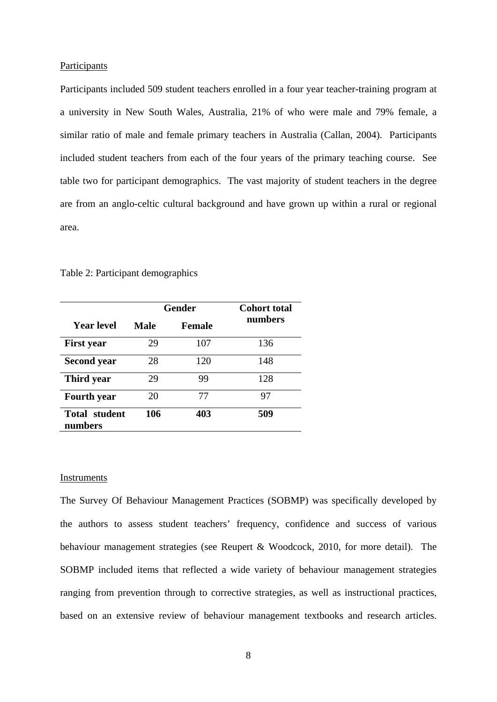# **Participants**

Participants included 509 student teachers enrolled in a four year teacher-training program at a university in New South Wales, Australia, 21% of who were male and 79% female, a similar ratio of male and female primary teachers in Australia (Callan, 2004). Participants included student teachers from each of the four years of the primary teaching course. See table two for participant demographics. The vast majority of student teachers in the degree are from an anglo-celtic cultural background and have grown up within a rural or regional area.

|                                 | Gender |        | <b>Cohort total</b> |  |
|---------------------------------|--------|--------|---------------------|--|
| Year level                      | Male   | Female | numbers             |  |
| <b>First year</b>               | 29     | 107    | 136                 |  |
| <b>Second year</b>              | 28     | 120    | 148                 |  |
| Third year                      | 29     | 99     | 128                 |  |
| <b>Fourth</b> year              | 20     | 77     | 97                  |  |
| <b>Total student</b><br>numbers | 106    | 403    | 509                 |  |

Table 2: Participant demographics

#### Instruments

The Survey Of Behaviour Management Practices (SOBMP) was specifically developed by the authors to assess student teachers' frequency, confidence and success of various behaviour management strategies (see Reupert & Woodcock, 2010, for more detail). The SOBMP included items that reflected a wide variety of behaviour management strategies ranging from prevention through to corrective strategies, as well as instructional practices, based on an extensive review of behaviour management textbooks and research articles.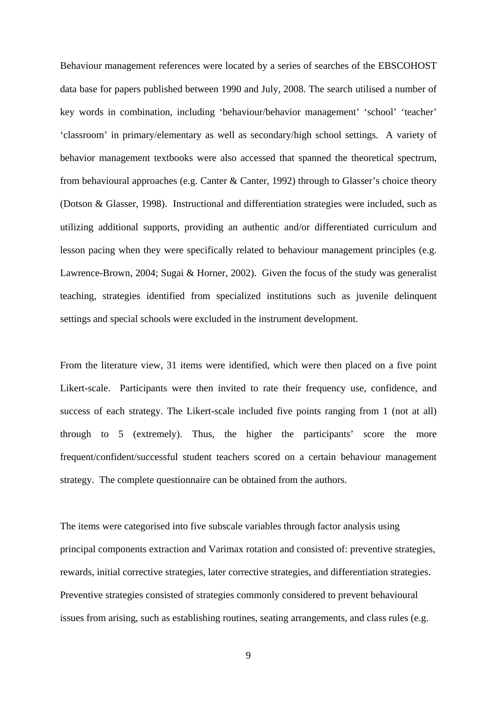Behaviour management references were located by a series of searches of the EBSCOHOST data base for papers published between 1990 and July, 2008. The search utilised a number of key words in combination, including 'behaviour/behavior management' 'school' 'teacher' 'classroom' in primary/elementary as well as secondary/high school settings. A variety of behavior management textbooks were also accessed that spanned the theoretical spectrum, from behavioural approaches (e.g. Canter & Canter, 1992) through to Glasser's choice theory (Dotson & Glasser, 1998). Instructional and differentiation strategies were included, such as utilizing additional supports, providing an authentic and/or differentiated curriculum and lesson pacing when they were specifically related to behaviour management principles (e.g. Lawrence-Brown, 2004; Sugai & Horner, 2002). Given the focus of the study was generalist teaching, strategies identified from specialized institutions such as juvenile delinquent settings and special schools were excluded in the instrument development.

From the literature view, 31 items were identified, which were then placed on a five point Likert-scale. Participants were then invited to rate their frequency use, confidence, and success of each strategy. The Likert-scale included five points ranging from 1 (not at all) through to 5 (extremely). Thus, the higher the participants' score the more frequent/confident/successful student teachers scored on a certain behaviour management strategy. The complete questionnaire can be obtained from the authors.

The items were categorised into five subscale variables through factor analysis using principal components extraction and Varimax rotation and consisted of: preventive strategies, rewards, initial corrective strategies, later corrective strategies, and differentiation strategies. Preventive strategies consisted of strategies commonly considered to prevent behavioural issues from arising, such as establishing routines, seating arrangements, and class rules (e.g.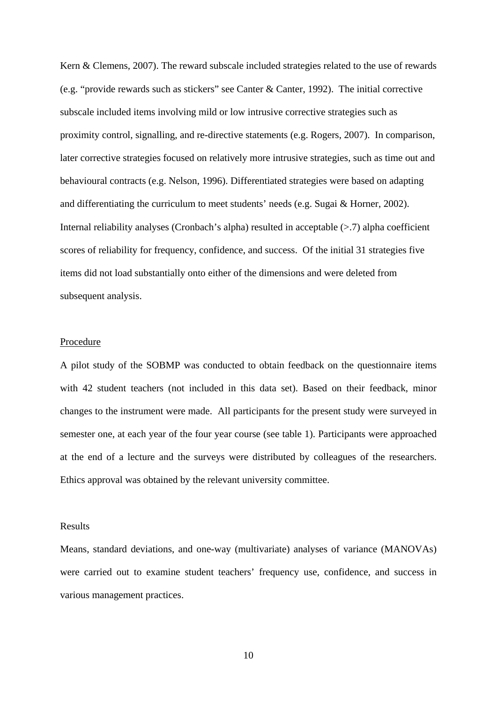Kern & Clemens, 2007). The reward subscale included strategies related to the use of rewards (e.g. "provide rewards such as stickers" see Canter & Canter, 1992). The initial corrective subscale included items involving mild or low intrusive corrective strategies such as proximity control, signalling, and re-directive statements (e.g. Rogers, 2007). In comparison, later corrective strategies focused on relatively more intrusive strategies, such as time out and behavioural contracts (e.g. Nelson, 1996). Differentiated strategies were based on adapting and differentiating the curriculum to meet students' needs (e.g. Sugai & Horner, 2002). Internal reliability analyses (Cronbach's alpha) resulted in acceptable (>.7) alpha coefficient scores of reliability for frequency, confidence, and success. Of the initial 31 strategies five items did not load substantially onto either of the dimensions and were deleted from subsequent analysis.

# Procedure

A pilot study of the SOBMP was conducted to obtain feedback on the questionnaire items with 42 student teachers (not included in this data set). Based on their feedback, minor changes to the instrument were made. All participants for the present study were surveyed in semester one, at each year of the four year course (see table 1). Participants were approached at the end of a lecture and the surveys were distributed by colleagues of the researchers. Ethics approval was obtained by the relevant university committee.

#### Results

Means, standard deviations, and one-way (multivariate) analyses of variance (MANOVAs) were carried out to examine student teachers' frequency use, confidence, and success in various management practices.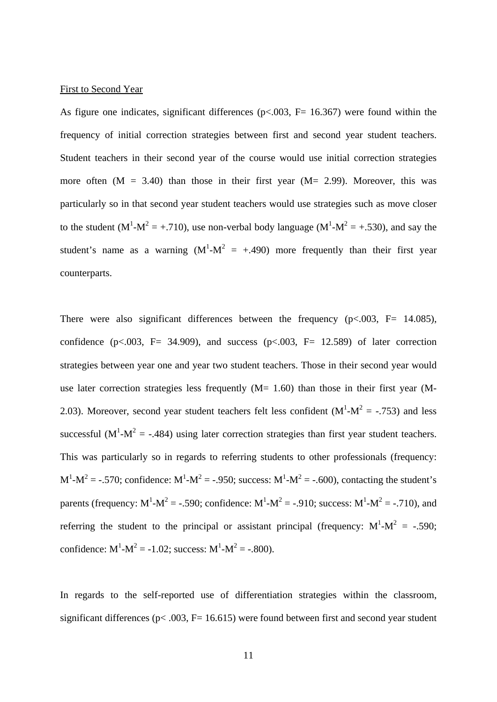#### First to Second Year

As figure one indicates, significant differences ( $p<0.003$ , F= 16.367) were found within the frequency of initial correction strategies between first and second year student teachers. Student teachers in their second year of the course would use initial correction strategies more often  $(M = 3.40)$  than those in their first year  $(M = 2.99)$ . Moreover, this was particularly so in that second year student teachers would use strategies such as move closer to the student (M<sup>1</sup>-M<sup>2</sup> = +.710), use non-verbal body language (M<sup>1</sup>-M<sup>2</sup> = +.530), and say the student's name as a warning  $(M^1-M^2 = +0.490)$  more frequently than their first year counterparts.

There were also significant differences between the frequency ( $p < .003$ ,  $F = 14.085$ ), confidence (p<.003, F= 34.909), and success (p<.003, F= 12.589) of later correction strategies between year one and year two student teachers. Those in their second year would use later correction strategies less frequently  $(M= 1.60)$  than those in their first year  $(M-$ 2.03). Moreover, second year student teachers felt less confident  $(M^1-M^2 = -0.753)$  and less successful ( $M^1-M^2 = -0.484$ ) using later correction strategies than first year student teachers. This was particularly so in regards to referring students to other professionals (frequency:  $M^{1} - M^{2} = -.570$ ; confidence:  $M^{1} - M^{2} = -.950$ ; success:  $M^{1} - M^{2} = -.600$ ), contacting the student's parents (frequency:  $M^1 - M^2 = -.590$ ; confidence:  $M^1 - M^2 = -.910$ ; success:  $M^1 - M^2 = -.710$ ), and referring the student to the principal or assistant principal (frequency:  $M^1-M^2 = -0.590$ ; confidence:  $M^1 - M^2 = -1.02$ ; success:  $M^1 - M^2 = -0.800$ .

In regards to the self-reported use of differentiation strategies within the classroom, significant differences ( $p$ < .003, F= 16.615) were found between first and second year student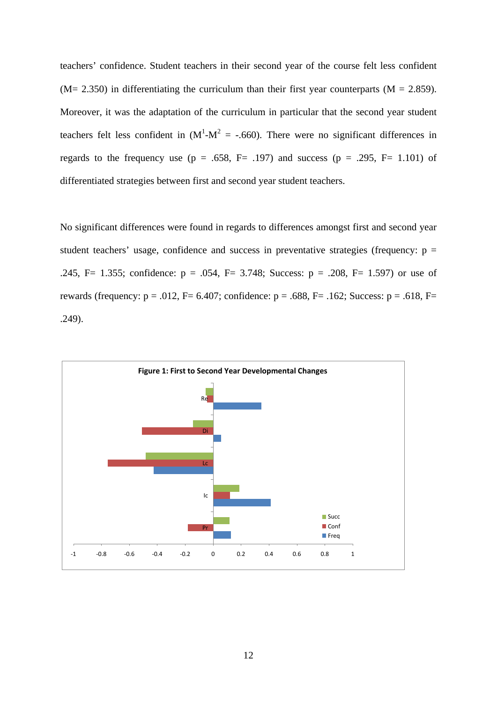teachers' confidence. Student teachers in their second year of the course felt less confident  $(M= 2.350)$  in differentiating the curriculum than their first year counterparts  $(M = 2.859)$ . Moreover, it was the adaptation of the curriculum in particular that the second year student teachers felt less confident in  $(M^1-M^2 = -.660)$ . There were no significant differences in regards to the frequency use ( $p = .658$ ,  $F = .197$ ) and success ( $p = .295$ ,  $F = 1.101$ ) of differentiated strategies between first and second year student teachers.

No significant differences were found in regards to differences amongst first and second year student teachers' usage, confidence and success in preventative strategies (frequency:  $p =$ .245, F= 1.355; confidence: p = .054, F= 3.748; Success: p = .208, F= 1.597) or use of rewards (frequency:  $p = .012$ ,  $F = 6.407$ ; confidence:  $p = .688$ ,  $F = .162$ ; Success:  $p = .618$ ,  $F =$ .249).

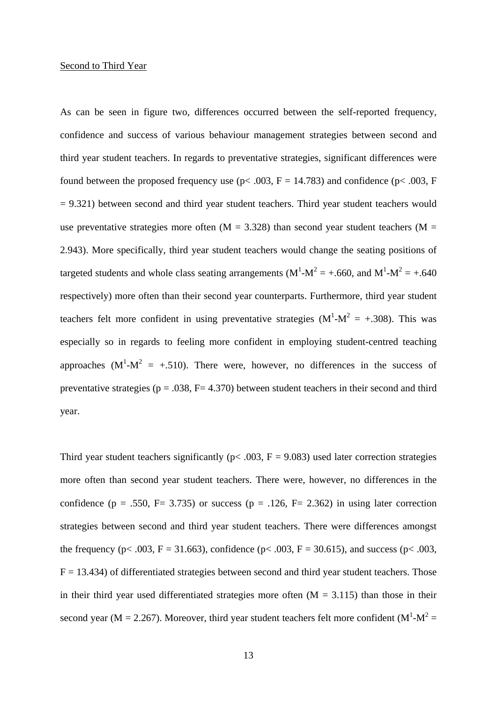#### Second to Third Year

As can be seen in figure two, differences occurred between the self-reported frequency, confidence and success of various behaviour management strategies between second and third year student teachers. In regards to preventative strategies, significant differences were found between the proposed frequency use ( $p$ < .003,  $F = 14.783$ ) and confidence ( $p$ < .003, F = 9.321) between second and third year student teachers. Third year student teachers would use preventative strategies more often  $(M = 3.328)$  than second year student teachers  $(M = 1.328)$ 2.943). More specifically, third year student teachers would change the seating positions of targeted students and whole class seating arrangements ( $M^1-M^2 = +.660$ , and  $M^1-M^2 = +.640$ respectively) more often than their second year counterparts. Furthermore, third year student teachers felt more confident in using preventative strategies  $(M^1-M^2 = +0.308)$ . This was especially so in regards to feeling more confident in employing student-centred teaching approaches  $(M^1-M^2 = +0.510)$ . There were, however, no differences in the success of preventative strategies ( $p = .038$ ,  $F = 4.370$ ) between student teachers in their second and third year.

Third year student teachers significantly ( $p < .003$ ,  $F = 9.083$ ) used later correction strategies more often than second year student teachers. There were, however, no differences in the confidence ( $p = .550$ ,  $F = 3.735$ ) or success ( $p = .126$ ,  $F = 2.362$ ) in using later correction strategies between second and third year student teachers. There were differences amongst the frequency (p< .003, F = 31.663), confidence (p< .003, F = 30.615), and success (p< .003,  $F = 13.434$ ) of differentiated strategies between second and third year student teachers. Those in their third year used differentiated strategies more often  $(M = 3.115)$  than those in their second year (M = 2.267). Moreover, third year student teachers felt more confident ( $M^1$ - $M^2$  =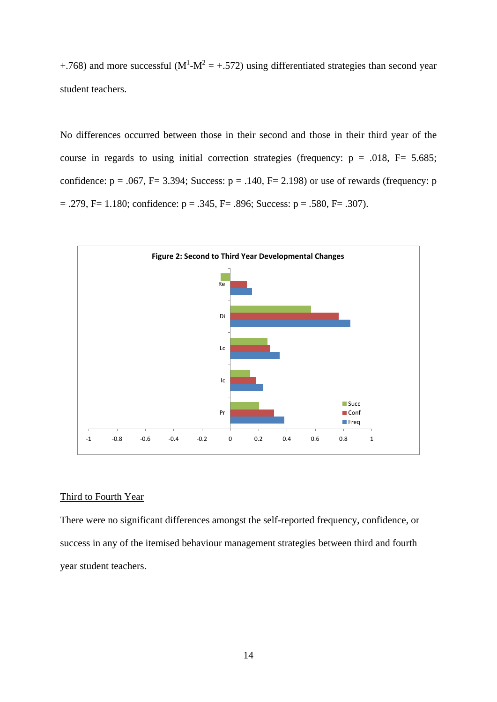+.768) and more successful ( $M<sup>1</sup>$ - $M<sup>2</sup>$  = +.572) using differentiated strategies than second year student teachers.

No differences occurred between those in their second and those in their third year of the course in regards to using initial correction strategies (frequency:  $p = .018$ ,  $F = 5.685$ ; confidence:  $p = .067$ ,  $F = 3.394$ ; Success:  $p = .140$ ,  $F = 2.198$ ) or use of rewards (frequency: p  $= .279$ , F= 1.180; confidence:  $p = .345$ , F= .896; Success:  $p = .580$ , F= .307).



# Third to Fourth Year

There were no significant differences amongst the self-reported frequency, confidence, or success in any of the itemised behaviour management strategies between third and fourth year student teachers.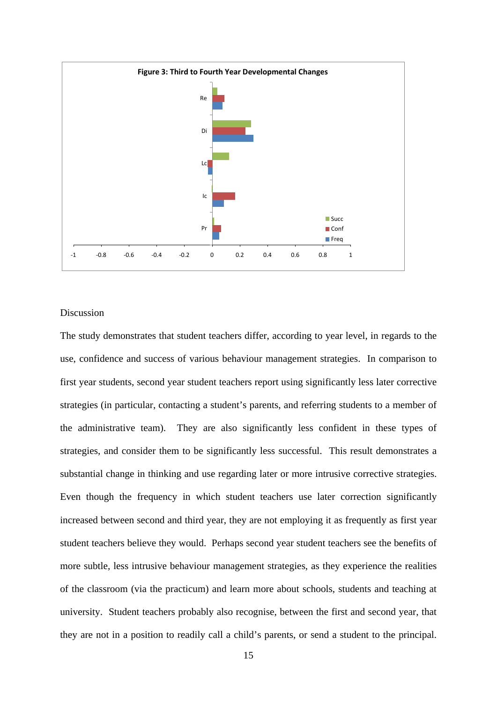

# Discussion

The study demonstrates that student teachers differ, according to year level, in regards to the use, confidence and success of various behaviour management strategies. In comparison to first year students, second year student teachers report using significantly less later corrective strategies (in particular, contacting a student's parents, and referring students to a member of the administrative team). They are also significantly less confident in these types of strategies, and consider them to be significantly less successful. This result demonstrates a substantial change in thinking and use regarding later or more intrusive corrective strategies. Even though the frequency in which student teachers use later correction significantly increased between second and third year, they are not employing it as frequently as first year student teachers believe they would. Perhaps second year student teachers see the benefits of more subtle, less intrusive behaviour management strategies, as they experience the realities of the classroom (via the practicum) and learn more about schools, students and teaching at university. Student teachers probably also recognise, between the first and second year, that they are not in a position to readily call a child's parents, or send a student to the principal.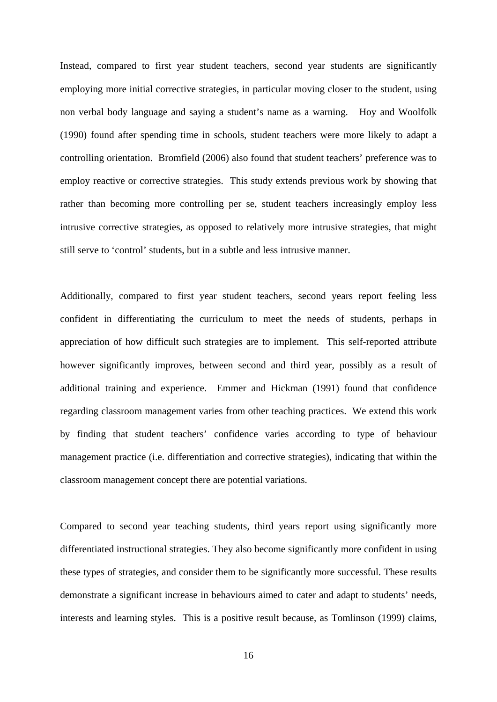Instead, compared to first year student teachers, second year students are significantly employing more initial corrective strategies, in particular moving closer to the student, using non verbal body language and saying a student's name as a warning. Hoy and Woolfolk (1990) found after spending time in schools, student teachers were more likely to adapt a controlling orientation. Bromfield (2006) also found that student teachers' preference was to employ reactive or corrective strategies. This study extends previous work by showing that rather than becoming more controlling per se, student teachers increasingly employ less intrusive corrective strategies, as opposed to relatively more intrusive strategies, that might still serve to 'control' students, but in a subtle and less intrusive manner.

Additionally, compared to first year student teachers, second years report feeling less confident in differentiating the curriculum to meet the needs of students, perhaps in appreciation of how difficult such strategies are to implement. This self-reported attribute however significantly improves, between second and third year, possibly as a result of additional training and experience. Emmer and Hickman (1991) found that confidence regarding classroom management varies from other teaching practices. We extend this work by finding that student teachers' confidence varies according to type of behaviour management practice (i.e. differentiation and corrective strategies), indicating that within the classroom management concept there are potential variations.

Compared to second year teaching students, third years report using significantly more differentiated instructional strategies. They also become significantly more confident in using these types of strategies, and consider them to be significantly more successful. These results demonstrate a significant increase in behaviours aimed to cater and adapt to students' needs, interests and learning styles. This is a positive result because, as Tomlinson (1999) claims,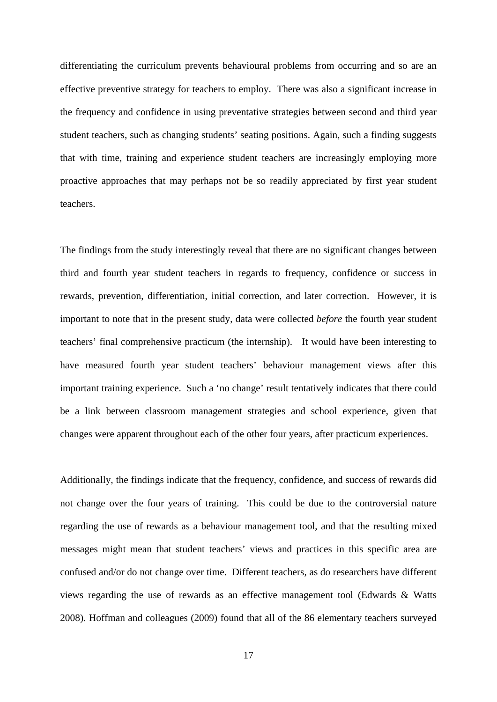differentiating the curriculum prevents behavioural problems from occurring and so are an effective preventive strategy for teachers to employ. There was also a significant increase in the frequency and confidence in using preventative strategies between second and third year student teachers, such as changing students' seating positions. Again, such a finding suggests that with time, training and experience student teachers are increasingly employing more proactive approaches that may perhaps not be so readily appreciated by first year student teachers.

The findings from the study interestingly reveal that there are no significant changes between third and fourth year student teachers in regards to frequency, confidence or success in rewards, prevention, differentiation, initial correction, and later correction. However, it is important to note that in the present study, data were collected *before* the fourth year student teachers' final comprehensive practicum (the internship). It would have been interesting to have measured fourth year student teachers' behaviour management views after this important training experience. Such a 'no change' result tentatively indicates that there could be a link between classroom management strategies and school experience, given that changes were apparent throughout each of the other four years, after practicum experiences.

Additionally, the findings indicate that the frequency, confidence, and success of rewards did not change over the four years of training. This could be due to the controversial nature regarding the use of rewards as a behaviour management tool, and that the resulting mixed messages might mean that student teachers' views and practices in this specific area are confused and/or do not change over time. Different teachers, as do researchers have different views regarding the use of rewards as an effective management tool (Edwards & Watts 2008). Hoffman and colleagues (2009) found that all of the 86 elementary teachers surveyed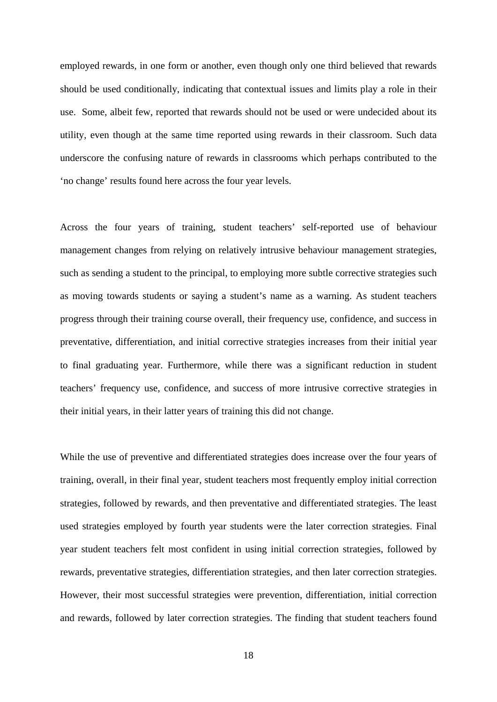employed rewards, in one form or another, even though only one third believed that rewards should be used conditionally, indicating that contextual issues and limits play a role in their use. Some, albeit few, reported that rewards should not be used or were undecided about its utility, even though at the same time reported using rewards in their classroom. Such data underscore the confusing nature of rewards in classrooms which perhaps contributed to the 'no change' results found here across the four year levels.

Across the four years of training, student teachers' self-reported use of behaviour management changes from relying on relatively intrusive behaviour management strategies, such as sending a student to the principal, to employing more subtle corrective strategies such as moving towards students or saying a student's name as a warning. As student teachers progress through their training course overall, their frequency use, confidence, and success in preventative, differentiation, and initial corrective strategies increases from their initial year to final graduating year. Furthermore, while there was a significant reduction in student teachers' frequency use, confidence, and success of more intrusive corrective strategies in their initial years, in their latter years of training this did not change.

While the use of preventive and differentiated strategies does increase over the four years of training, overall, in their final year, student teachers most frequently employ initial correction strategies, followed by rewards, and then preventative and differentiated strategies. The least used strategies employed by fourth year students were the later correction strategies. Final year student teachers felt most confident in using initial correction strategies, followed by rewards, preventative strategies, differentiation strategies, and then later correction strategies. However, their most successful strategies were prevention, differentiation, initial correction and rewards, followed by later correction strategies. The finding that student teachers found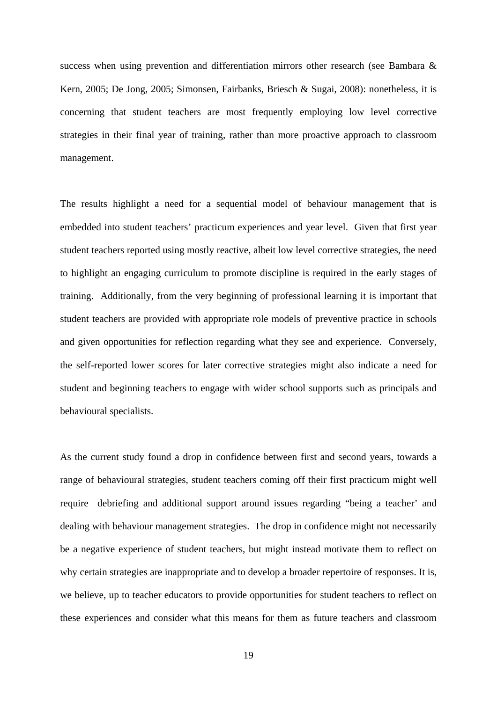success when using prevention and differentiation mirrors other research (see Bambara & Kern, 2005; De Jong, 2005; Simonsen, Fairbanks, Briesch & Sugai, 2008): nonetheless, it is concerning that student teachers are most frequently employing low level corrective strategies in their final year of training, rather than more proactive approach to classroom management.

The results highlight a need for a sequential model of behaviour management that is embedded into student teachers' practicum experiences and year level. Given that first year student teachers reported using mostly reactive, albeit low level corrective strategies, the need to highlight an engaging curriculum to promote discipline is required in the early stages of training. Additionally, from the very beginning of professional learning it is important that student teachers are provided with appropriate role models of preventive practice in schools and given opportunities for reflection regarding what they see and experience. Conversely, the self-reported lower scores for later corrective strategies might also indicate a need for student and beginning teachers to engage with wider school supports such as principals and behavioural specialists.

As the current study found a drop in confidence between first and second years, towards a range of behavioural strategies, student teachers coming off their first practicum might well require debriefing and additional support around issues regarding "being a teacher' and dealing with behaviour management strategies. The drop in confidence might not necessarily be a negative experience of student teachers, but might instead motivate them to reflect on why certain strategies are inappropriate and to develop a broader repertoire of responses. It is, we believe, up to teacher educators to provide opportunities for student teachers to reflect on these experiences and consider what this means for them as future teachers and classroom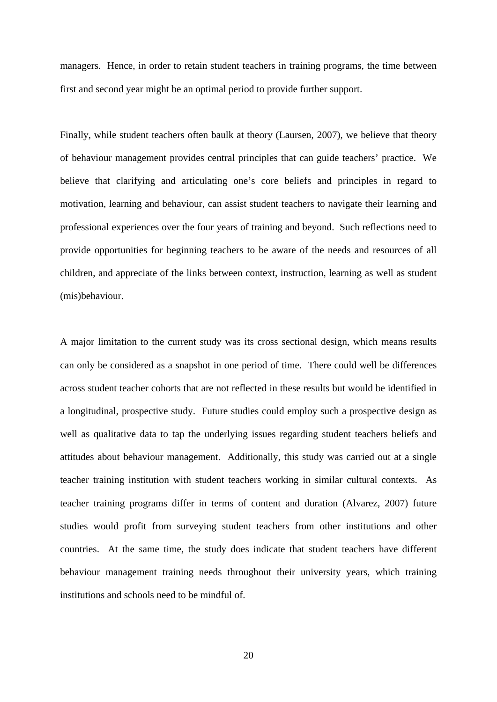managers. Hence, in order to retain student teachers in training programs, the time between first and second year might be an optimal period to provide further support.

Finally, while student teachers often baulk at theory (Laursen, 2007), we believe that theory of behaviour management provides central principles that can guide teachers' practice. We believe that clarifying and articulating one's core beliefs and principles in regard to motivation, learning and behaviour, can assist student teachers to navigate their learning and professional experiences over the four years of training and beyond. Such reflections need to provide opportunities for beginning teachers to be aware of the needs and resources of all children, and appreciate of the links between context, instruction, learning as well as student (mis)behaviour.

A major limitation to the current study was its cross sectional design, which means results can only be considered as a snapshot in one period of time. There could well be differences across student teacher cohorts that are not reflected in these results but would be identified in a longitudinal, prospective study. Future studies could employ such a prospective design as well as qualitative data to tap the underlying issues regarding student teachers beliefs and attitudes about behaviour management. Additionally, this study was carried out at a single teacher training institution with student teachers working in similar cultural contexts. As teacher training programs differ in terms of content and duration (Alvarez, 2007) future studies would profit from surveying student teachers from other institutions and other countries. At the same time, the study does indicate that student teachers have different behaviour management training needs throughout their university years, which training institutions and schools need to be mindful of.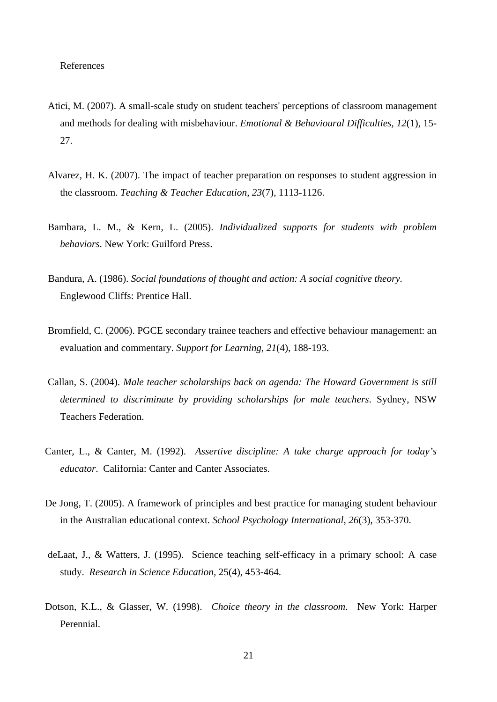# References

- Atici, M. (2007). A small-scale study on student teachers' perceptions of classroom management and methods for dealing with misbehaviour. *Emotional & Behavioural Difficulties, 12*(1), 15- 27.
- Alvarez, H. K. (2007). The impact of teacher preparation on responses to student aggression in the classroom. *Teaching & Teacher Education, 23*(7), 1113-1126.
- Bambara, L. M., & Kern, L. (2005). *Individualized supports for students with problem behaviors*. New York: Guilford Press.
- Bandura, A. (1986). *Social foundations of thought and action: A social cognitive theory.*  Englewood Cliffs: Prentice Hall.
- Bromfield, C. (2006). PGCE secondary trainee teachers and effective behaviour management: an evaluation and commentary. *Support for Learning, 21*(4), 188-193.
- Callan, S. (2004). *Male teacher scholarships back on agenda: The Howard Government is still determined to discriminate by providing scholarships for male teachers*. Sydney, NSW Teachers Federation.
- Canter, L., & Canter, M. (1992). *Assertive discipline: A take charge approach for today's educator*. California: Canter and Canter Associates.
- De Jong, T. (2005). A framework of principles and best practice for managing student behaviour in the Australian educational context. *School Psychology International, 26*(3), 353-370.
- deLaat, J., & Watters, J. (1995). Science teaching self-efficacy in a primary school: A case study. *Research in Science Education,* 25(4), 453-464.
- Dotson, K.L., & Glasser, W. (1998). *Choice theory in the classroom*. New York: Harper Perennial.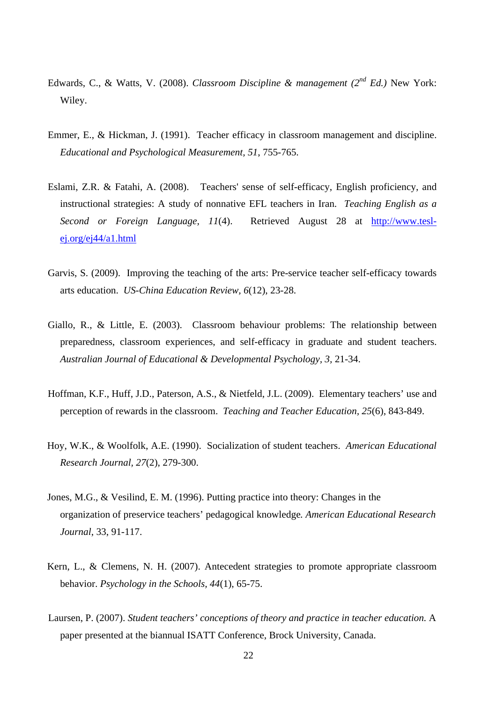- Edwards, C., & Watts, V. (2008). *Classroom Discipline & management (2nd Ed.)* New York: Wiley.
- Emmer, E., & Hickman, J. (1991). Teacher efficacy in classroom management and discipline. *Educational and Psychological Measurement, 51*, 755-765.
- Eslami, Z.R. & Fatahi, A. (2008). Teachers' sense of self-efficacy, English proficiency, and instructional strategies: A study of nonnative EFL teachers in Iran. *Teaching English as a Second or Foreign Language, 11*(4). Retrieved August 28 at http://www.teslej.org/ej44/a1.html
- Garvis, S. (2009). Improving the teaching of the arts: Pre-service teacher self-efficacy towards arts education. *US-China Education Review, 6*(12), 23-28.
- Giallo, R., & Little, E. (2003). Classroom behaviour problems: The relationship between preparedness, classroom experiences, and self-efficacy in graduate and student teachers. *Australian Journal of Educational & Developmental Psychology, 3,* 21-34.
- Hoffman, K.F., Huff, J.D., Paterson, A.S., & Nietfeld, J.L. (2009). Elementary teachers' use and perception of rewards in the classroom. *Teaching and Teacher Education, 25*(6), 843-849.
- Hoy, W.K., & Woolfolk, A.E. (1990). Socialization of student teachers. *American Educational Research Journal, 27*(2), 279-300.
- Jones, M.G., & Vesilind, E. M. (1996). Putting practice into theory: Changes in the organization of preservice teachers' pedagogical knowledge*. American Educational Research Journal*, 33, 91-117.
- Kern, L., & Clemens, N. H. (2007). Antecedent strategies to promote appropriate classroom behavior. *Psychology in the Schools, 44*(1), 65-75.
- Laursen, P. (2007). *Student teachers' conceptions of theory and practice in teacher education.* A paper presented at the biannual ISATT Conference, Brock University, Canada.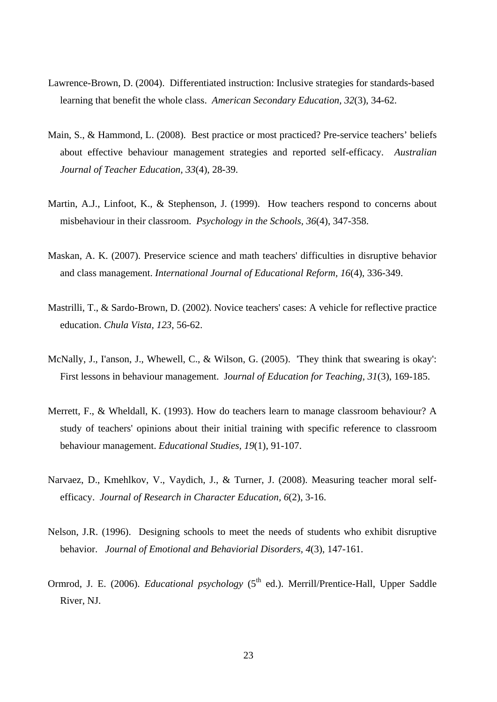- Lawrence-Brown, D. (2004). Differentiated instruction: Inclusive strategies for standards-based learning that benefit the whole class. *American Secondary Education, 32*(3), 34-62.
- Main, S., & Hammond, L. (2008). Best practice or most practiced? Pre-service teachers' beliefs about effective behaviour management strategies and reported self-efficacy. *Australian Journal of Teacher Education, 33*(4), 28-39.
- Martin, A.J., Linfoot, K., & Stephenson, J. (1999). How teachers respond to concerns about misbehaviour in their classroom. *Psychology in the Schools, 36*(4), 347-358.
- Maskan, A. K. (2007). Preservice science and math teachers' difficulties in disruptive behavior and class management. *International Journal of Educational Reform, 16*(4), 336-349.
- Mastrilli, T., & Sardo-Brown, D. (2002). Novice teachers' cases: A vehicle for reflective practice education. *Chula Vista, 123*, 56-62.
- McNally, J., I'anson, J., Whewell, C., & Wilson, G. (2005). 'They think that swearing is okay': First lessons in behaviour management. J*ournal of Education for Teaching, 31*(3), 169-185.
- Merrett, F., & Wheldall, K. (1993). How do teachers learn to manage classroom behaviour? A study of teachers' opinions about their initial training with specific reference to classroom behaviour management. *Educational Studies, 19*(1), 91-107.
- Narvaez, D., Kmehlkov, V., Vaydich, J., & Turner, J. (2008). Measuring teacher moral selfefficacy. *Journal of Research in Character Education, 6*(2), 3-16.
- Nelson, J.R. (1996). Designing schools to meet the needs of students who exhibit disruptive behavior. *Journal of Emotional and Behaviorial Disorders, 4*(3), 147-161.
- Ormrod, J. E. (2006). *Educational psychology* (5<sup>th</sup> ed.). Merrill/Prentice-Hall, Upper Saddle River, NJ.